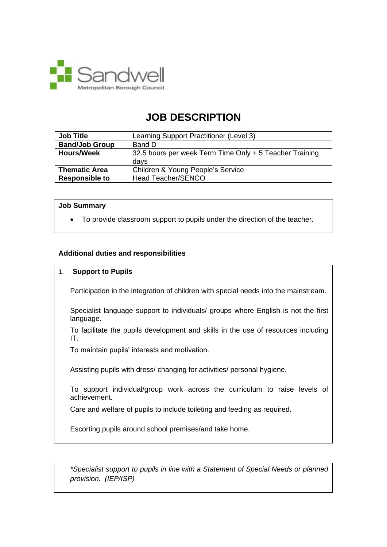

# **JOB DESCRIPTION**

| <b>Job Title</b>      | Learning Support Practitioner (Level 3)                 |
|-----------------------|---------------------------------------------------------|
| <b>Band/Job Group</b> | Band D                                                  |
| <b>Hours/Week</b>     | 32.5 hours per week Term Time Only + 5 Teacher Training |
|                       | davs                                                    |
| <b>Thematic Area</b>  | Children & Young People's Service                       |
| <b>Responsible to</b> | <b>Head Teacher/SENCO</b>                               |

#### **Job Summary**

• To provide classroom support to pupils under the direction of the teacher.

# **Additional duties and responsibilities**

## 1. **Support to Pupils**

Participation in the integration of children with special needs into the mainstream.

Specialist language support to individuals/ groups where English is not the first language.

To facilitate the pupils development and skills in the use of resources including IT.

To maintain pupils' interests and motivation.

Assisting pupils with dress/ changing for activities/ personal hygiene.

To support individual/group work across the curriculum to raise levels of achievement.

Care and welfare of pupils to include toileting and feeding as required.

Escorting pupils around school premises/and take home.

*\*Specialist support to pupils in line with a Statement of Special Needs or planned provision. (IEP/ISP)*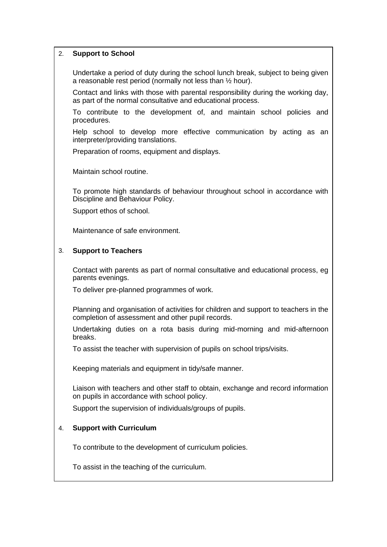## 2. **Support to School**

Undertake a period of duty during the school lunch break, subject to being given a reasonable rest period (normally not less than ½ hour).

Contact and links with those with parental responsibility during the working day, as part of the normal consultative and educational process.

To contribute to the development of, and maintain school policies and procedures.

Help school to develop more effective communication by acting as an interpreter/providing translations.

Preparation of rooms, equipment and displays.

Maintain school routine.

To promote high standards of behaviour throughout school in accordance with Discipline and Behaviour Policy.

Support ethos of school.

Maintenance of safe environment.

#### 3. **Support to Teachers**

Contact with parents as part of normal consultative and educational process, eg parents evenings.

To deliver pre-planned programmes of work.

Planning and organisation of activities for children and support to teachers in the completion of assessment and other pupil records.

Undertaking duties on a rota basis during mid-morning and mid-afternoon breaks.

To assist the teacher with supervision of pupils on school trips/visits.

Keeping materials and equipment in tidy/safe manner.

Liaison with teachers and other staff to obtain, exchange and record information on pupils in accordance with school policy.

Support the supervision of individuals/groups of pupils.

#### 4. **Support with Curriculum**

To contribute to the development of curriculum policies.

To assist in the teaching of the curriculum.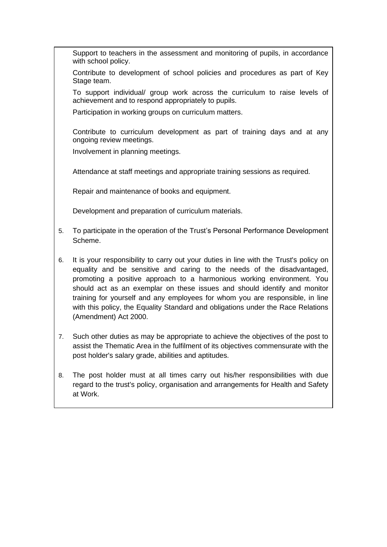Support to teachers in the assessment and monitoring of pupils, in accordance with school policy.

Contribute to development of school policies and procedures as part of Key Stage team.

To support individual/ group work across the curriculum to raise levels of achievement and to respond appropriately to pupils.

Participation in working groups on curriculum matters.

Contribute to curriculum development as part of training days and at any ongoing review meetings.

Involvement in planning meetings.

Attendance at staff meetings and appropriate training sessions as required.

Repair and maintenance of books and equipment.

Development and preparation of curriculum materials.

- 5. To participate in the operation of the Trust's Personal Performance Development Scheme.
- 6. It is your responsibility to carry out your duties in line with the Trust's policy on equality and be sensitive and caring to the needs of the disadvantaged, promoting a positive approach to a harmonious working environment. You should act as an exemplar on these issues and should identify and monitor training for yourself and any employees for whom you are responsible, in line with this policy, the Equality Standard and obligations under the Race Relations (Amendment) Act 2000.
- 7. Such other duties as may be appropriate to achieve the objectives of the post to assist the Thematic Area in the fulfilment of its objectives commensurate with the post holder's salary grade, abilities and aptitudes.
- 8. The post holder must at all times carry out his/her responsibilities with due regard to the trust's policy, organisation and arrangements for Health and Safety at Work.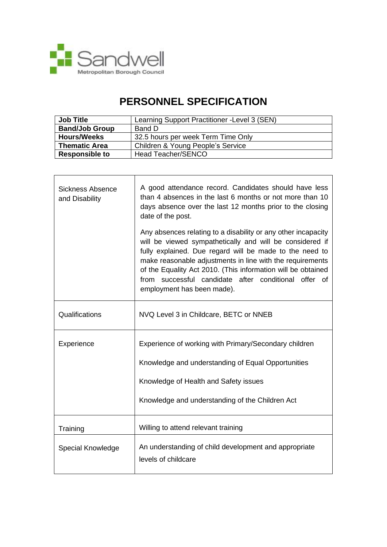

**r** 

# **PERSONNEL SPECIFICATION**

| <b>Job Title</b>      | Learning Support Practitioner - Level 3 (SEN) |
|-----------------------|-----------------------------------------------|
| <b>Band/Job Group</b> | Band D                                        |
| <b>Hours/Weeks</b>    | 32.5 hours per week Term Time Only            |
| <b>Thematic Area</b>  | Children & Young People's Service             |
| <b>Responsible to</b> | Head Teacher/SENCO                            |

| <b>Sickness Absence</b><br>and Disability | A good attendance record. Candidates should have less<br>than 4 absences in the last 6 months or not more than 10<br>days absence over the last 12 months prior to the closing<br>date of the post.                                                                                                                                                                                                     |
|-------------------------------------------|---------------------------------------------------------------------------------------------------------------------------------------------------------------------------------------------------------------------------------------------------------------------------------------------------------------------------------------------------------------------------------------------------------|
|                                           | Any absences relating to a disability or any other incapacity<br>will be viewed sympathetically and will be considered if<br>fully explained. Due regard will be made to the need to<br>make reasonable adjustments in line with the requirements<br>of the Equality Act 2010. (This information will be obtained<br>from successful candidate after conditional offer of<br>employment has been made). |
| Qualifications                            | NVQ Level 3 in Childcare, BETC or NNEB                                                                                                                                                                                                                                                                                                                                                                  |
| Experience                                | Experience of working with Primary/Secondary children                                                                                                                                                                                                                                                                                                                                                   |
|                                           | Knowledge and understanding of Equal Opportunities                                                                                                                                                                                                                                                                                                                                                      |
|                                           | Knowledge of Health and Safety issues                                                                                                                                                                                                                                                                                                                                                                   |
|                                           | Knowledge and understanding of the Children Act                                                                                                                                                                                                                                                                                                                                                         |
| Training                                  | Willing to attend relevant training                                                                                                                                                                                                                                                                                                                                                                     |
| Special Knowledge                         | An understanding of child development and appropriate<br>levels of childcare                                                                                                                                                                                                                                                                                                                            |